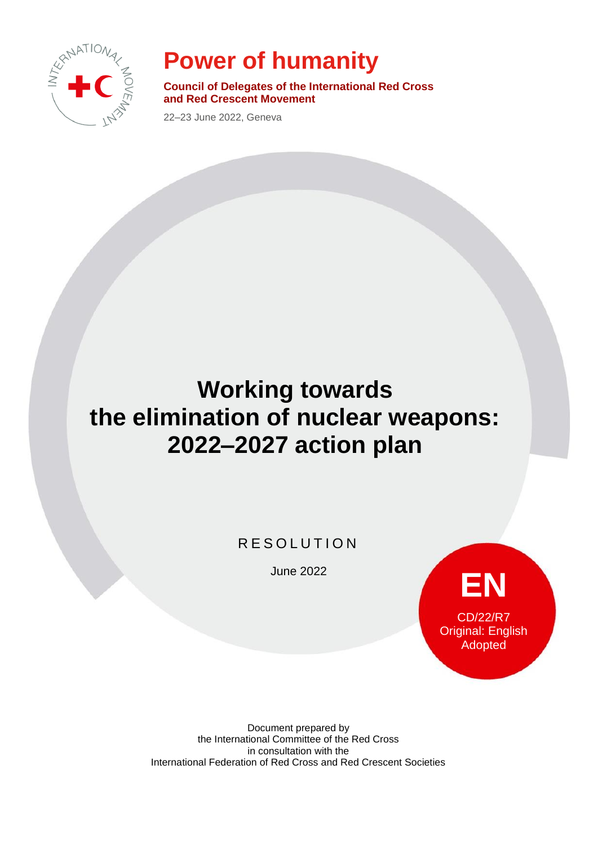

## **Power of humanity**

**Council of Delegates of the International Red Cross and Red Crescent Movement**

22–23 June 2022, Geneva

# **Working towards the elimination of nuclear weapons: 2022–2027 action plan**

**RESOLUTION** 

June 2022



Document prepared by the International Committee of the Red Cross in consultation with the International Federation of Red Cross and Red Crescent Societies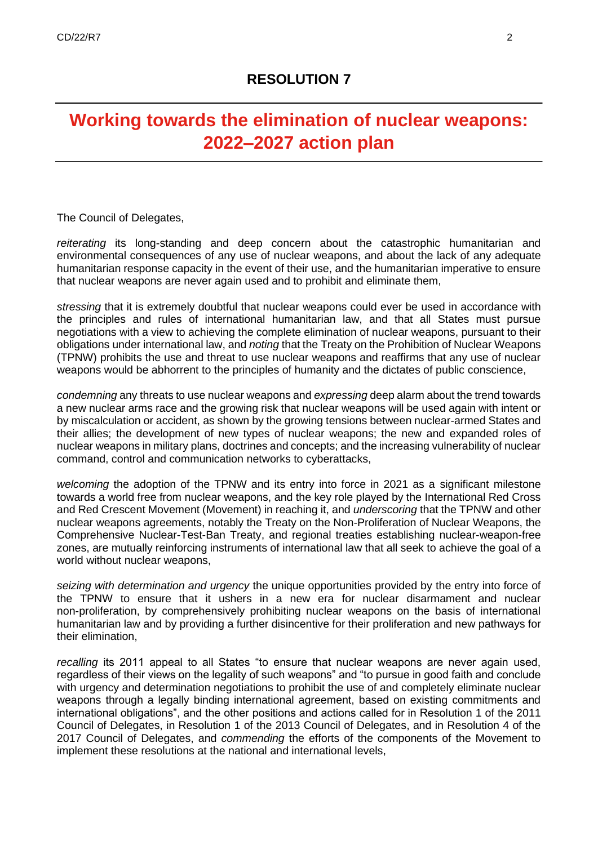## **Working towards the elimination of nuclear weapons: 2022–2027 action plan**

The Council of Delegates,

*reiterating* its long-standing and deep concern about the catastrophic humanitarian and environmental consequences of any use of nuclear weapons, and about the lack of any adequate humanitarian response capacity in the event of their use, and the humanitarian imperative to ensure that nuclear weapons are never again used and to prohibit and eliminate them,

*stressing* that it is extremely doubtful that nuclear weapons could ever be used in accordance with the principles and rules of international humanitarian law, and that all States must pursue negotiations with a view to achieving the complete elimination of nuclear weapons, pursuant to their obligations under international law, and *noting* that the Treaty on the Prohibition of Nuclear Weapons (TPNW) prohibits the use and threat to use nuclear weapons and reaffirms that any use of nuclear weapons would be abhorrent to the principles of humanity and the dictates of public conscience,

*condemning* any threats to use nuclear weapons and *expressing* deep alarm about the trend towards a new nuclear arms race and the growing risk that nuclear weapons will be used again with intent or by miscalculation or accident, as shown by the growing tensions between nuclear-armed States and their allies; the development of new types of nuclear weapons; the new and expanded roles of nuclear weapons in military plans, doctrines and concepts; and the increasing vulnerability of nuclear command, control and communication networks to cyberattacks,

*welcoming* the adoption of the TPNW and its entry into force in 2021 as a significant milestone towards a world free from nuclear weapons, and the key role played by the International Red Cross and Red Crescent Movement (Movement) in reaching it, and *underscoring* that the TPNW and other nuclear weapons agreements, notably the Treaty on the Non-Proliferation of Nuclear Weapons, the Comprehensive Nuclear-Test-Ban Treaty, and regional treaties establishing nuclear-weapon-free zones, are mutually reinforcing instruments of international law that all seek to achieve the goal of a world without nuclear weapons,

*seizing with determination and urgency* the unique opportunities provided by the entry into force of the TPNW to ensure that it ushers in a new era for nuclear disarmament and nuclear non-proliferation, by comprehensively prohibiting nuclear weapons on the basis of international humanitarian law and by providing a further disincentive for their proliferation and new pathways for their elimination,

*recalling* its 2011 appeal to all States "to ensure that nuclear weapons are never again used, regardless of their views on the legality of such weapons" and "to pursue in good faith and conclude with urgency and determination negotiations to prohibit the use of and completely eliminate nuclear weapons through a legally binding international agreement, based on existing commitments and international obligations", and the other positions and actions called for in Resolution 1 of the 2011 Council of Delegates, in Resolution 1 of the 2013 Council of Delegates, and in Resolution 4 of the 2017 Council of Delegates, and *commending* the efforts of the components of the Movement to implement these resolutions at the national and international levels,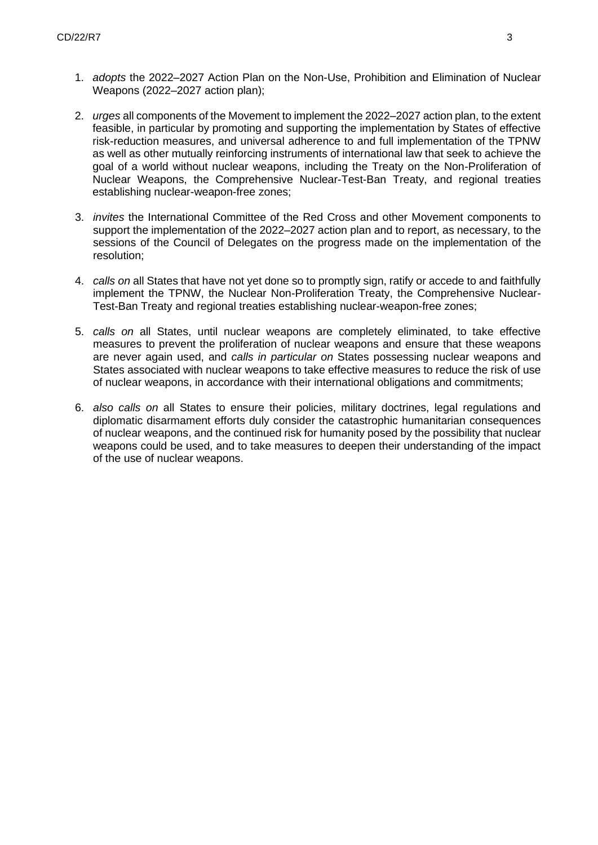- 1. *adopts* the 2022–2027 Action Plan on the Non-Use, Prohibition and Elimination of Nuclear Weapons (2022–2027 action plan);
- 2. *urges* all components of the Movement to implement the 2022–2027 action plan, to the extent feasible, in particular by promoting and supporting the implementation by States of effective risk-reduction measures, and universal adherence to and full implementation of the TPNW as well as other mutually reinforcing instruments of international law that seek to achieve the goal of a world without nuclear weapons, including the Treaty on the Non-Proliferation of Nuclear Weapons, the Comprehensive Nuclear-Test-Ban Treaty, and regional treaties establishing nuclear-weapon-free zones;
- 3. *invites* the International Committee of the Red Cross and other Movement components to support the implementation of the 2022–2027 action plan and to report, as necessary, to the sessions of the Council of Delegates on the progress made on the implementation of the resolution;
- 4. *calls on* all States that have not yet done so to promptly sign, ratify or accede to and faithfully implement the TPNW, the Nuclear Non-Proliferation Treaty, the Comprehensive Nuclear-Test-Ban Treaty and regional treaties establishing nuclear-weapon-free zones;
- 5. *calls on* all States, until nuclear weapons are completely eliminated, to take effective measures to prevent the proliferation of nuclear weapons and ensure that these weapons are never again used, and *calls in particular on* States possessing nuclear weapons and States associated with nuclear weapons to take effective measures to reduce the risk of use of nuclear weapons, in accordance with their international obligations and commitments;
- 6. *also calls on* all States to ensure their policies, military doctrines, legal regulations and diplomatic disarmament efforts duly consider the catastrophic humanitarian consequences of nuclear weapons, and the continued risk for humanity posed by the possibility that nuclear weapons could be used, and to take measures to deepen their understanding of the impact of the use of nuclear weapons.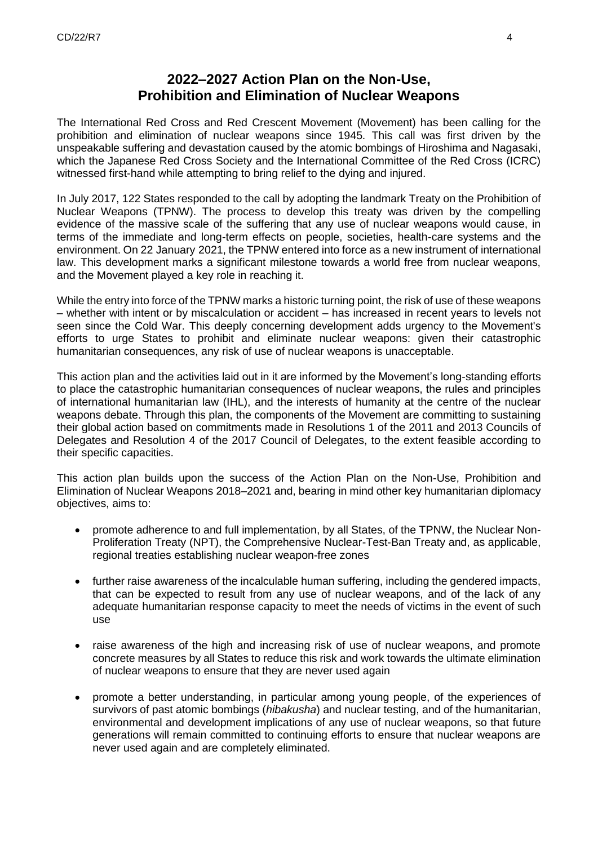## **2022–2027 Action Plan on the Non-Use, Prohibition and Elimination of Nuclear Weapons**

The International Red Cross and Red Crescent Movement (Movement) has been calling for the prohibition and elimination of nuclear weapons since 1945. This call was first driven by the unspeakable suffering and devastation caused by the atomic bombings of Hiroshima and Nagasaki, which the Japanese Red Cross Society and the International Committee of the Red Cross (ICRC) witnessed first-hand while attempting to bring relief to the dying and injured.

In July 2017, 122 States responded to the call by adopting the landmark Treaty on the Prohibition of Nuclear Weapons (TPNW). The process to develop this treaty was driven by the compelling evidence of the massive scale of the suffering that any use of nuclear weapons would cause, in terms of the immediate and long-term effects on people, societies, health-care systems and the environment. On 22 January 2021, the TPNW entered into force as a new instrument of international law. This development marks a significant milestone towards a world free from nuclear weapons, and the Movement played a key role in reaching it.

While the entry into force of the TPNW marks a historic turning point, the risk of use of these weapons – whether with intent or by miscalculation or accident – has increased in recent years to levels not seen since the Cold War. This deeply concerning development adds urgency to the Movement's efforts to urge States to prohibit and eliminate nuclear weapons: given their catastrophic humanitarian consequences, any risk of use of nuclear weapons is unacceptable.

This action plan and the activities laid out in it are informed by the Movement's long-standing efforts to place the catastrophic humanitarian consequences of nuclear weapons, the rules and principles of international humanitarian law (IHL), and the interests of humanity at the centre of the nuclear weapons debate. Through this plan, the components of the Movement are committing to sustaining their global action based on commitments made in Resolutions 1 of the 2011 and 2013 Councils of Delegates and Resolution 4 of the 2017 Council of Delegates, to the extent feasible according to their specific capacities.

This action plan builds upon the success of the Action Plan on the Non-Use, Prohibition and Elimination of Nuclear Weapons 2018–2021 and, bearing in mind other key humanitarian diplomacy objectives, aims to:

- promote adherence to and full implementation, by all States, of the TPNW, the Nuclear Non-Proliferation Treaty (NPT), the Comprehensive Nuclear-Test-Ban Treaty and, as applicable, regional treaties establishing nuclear weapon-free zones
- further raise awareness of the incalculable human suffering, including the gendered impacts, that can be expected to result from any use of nuclear weapons, and of the lack of any adequate humanitarian response capacity to meet the needs of victims in the event of such use
- raise awareness of the high and increasing risk of use of nuclear weapons, and promote concrete measures by all States to reduce this risk and work towards the ultimate elimination of nuclear weapons to ensure that they are never used again
- promote a better understanding, in particular among young people, of the experiences of survivors of past atomic bombings (*hibakusha*) and nuclear testing, and of the humanitarian, environmental and development implications of any use of nuclear weapons, so that future generations will remain committed to continuing efforts to ensure that nuclear weapons are never used again and are completely eliminated.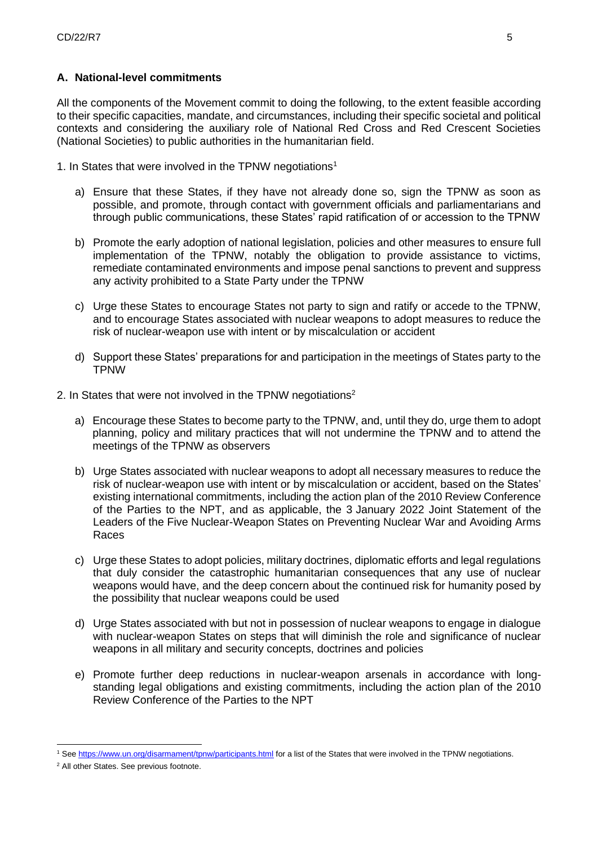### **A. National-level commitments**

All the components of the Movement commit to doing the following, to the extent feasible according to their specific capacities, mandate, and circumstances, including their specific societal and political contexts and considering the auxiliary role of National Red Cross and Red Crescent Societies (National Societies) to public authorities in the humanitarian field.

1. In States that were involved in the TPNW negotiations<sup>1</sup>

- a) Ensure that these States, if they have not already done so, sign the TPNW as soon as possible, and promote, through contact with government officials and parliamentarians and through public communications, these States' rapid ratification of or accession to the TPNW
- b) Promote the early adoption of national legislation, policies and other measures to ensure full implementation of the TPNW, notably the obligation to provide assistance to victims, remediate contaminated environments and impose penal sanctions to prevent and suppress any activity prohibited to a State Party under the TPNW
- c) Urge these States to encourage States not party to sign and ratify or accede to the TPNW, and to encourage States associated with nuclear weapons to adopt measures to reduce the risk of nuclear-weapon use with intent or by miscalculation or accident
- d) Support these States' preparations for and participation in the meetings of States party to the TPNW
- 2. In States that were not involved in the TPNW negotiations<sup>2</sup>
	- a) Encourage these States to become party to the TPNW, and, until they do, urge them to adopt planning, policy and military practices that will not undermine the TPNW and to attend the meetings of the TPNW as observers
	- b) Urge States associated with nuclear weapons to adopt all necessary measures to reduce the risk of nuclear-weapon use with intent or by miscalculation or accident, based on the States' existing international commitments, including the action plan of the 2010 Review Conference of the Parties to the NPT, and as applicable, the 3 January 2022 Joint Statement of the Leaders of the Five Nuclear-Weapon States on Preventing Nuclear War and Avoiding Arms Races
	- c) Urge these States to adopt policies, military doctrines, diplomatic efforts and legal regulations that duly consider the catastrophic humanitarian consequences that any use of nuclear weapons would have, and the deep concern about the continued risk for humanity posed by the possibility that nuclear weapons could be used
	- d) Urge States associated with but not in possession of nuclear weapons to engage in dialogue with nuclear-weapon States on steps that will diminish the role and significance of nuclear weapons in all military and security concepts, doctrines and policies
	- e) Promote further deep reductions in nuclear-weapon arsenals in accordance with longstanding legal obligations and existing commitments, including the action plan of the 2010 Review Conference of the Parties to the NPT

<sup>&</sup>lt;sup>1</sup> Se[e https://www.un.org/disarmament/tpnw/participants.html](https://www.un.org/disarmament/tpnw/participants.html) for a list of the States that were involved in the TPNW negotiations.

<sup>2</sup> All other States. See previous footnote.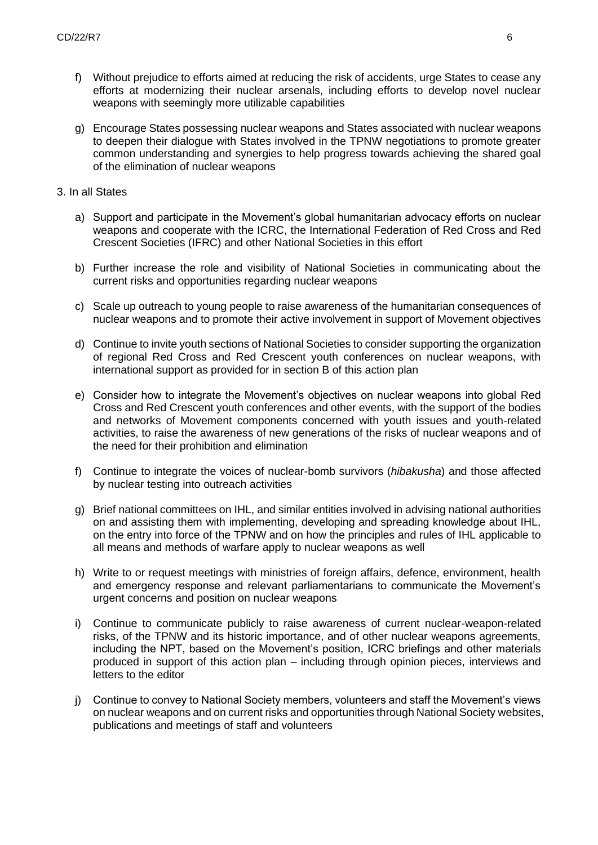- f) Without prejudice to efforts aimed at reducing the risk of accidents, urge States to cease any efforts at modernizing their nuclear arsenals, including efforts to develop novel nuclear weapons with seemingly more utilizable capabilities
- g) Encourage States possessing nuclear weapons and States associated with nuclear weapons to deepen their dialogue with States involved in the TPNW negotiations to promote greater common understanding and synergies to help progress towards achieving the shared goal of the elimination of nuclear weapons
- 3. In all States
	- a) Support and participate in the Movement's global humanitarian advocacy efforts on nuclear weapons and cooperate with the ICRC, the International Federation of Red Cross and Red Crescent Societies (IFRC) and other National Societies in this effort
	- b) Further increase the role and visibility of National Societies in communicating about the current risks and opportunities regarding nuclear weapons
	- c) Scale up outreach to young people to raise awareness of the humanitarian consequences of nuclear weapons and to promote their active involvement in support of Movement objectives
	- d) Continue to invite youth sections of National Societies to consider supporting the organization of regional Red Cross and Red Crescent youth conferences on nuclear weapons, with international support as provided for in section B of this action plan
	- e) Consider how to integrate the Movement's objectives on nuclear weapons into global Red Cross and Red Crescent youth conferences and other events, with the support of the bodies and networks of Movement components concerned with youth issues and youth-related activities, to raise the awareness of new generations of the risks of nuclear weapons and of the need for their prohibition and elimination
	- f) Continue to integrate the voices of nuclear-bomb survivors (*hibakusha*) and those affected by nuclear testing into outreach activities
	- g) Brief national committees on IHL, and similar entities involved in advising national authorities on and assisting them with implementing, developing and spreading knowledge about IHL, on the entry into force of the TPNW and on how the principles and rules of IHL applicable to all means and methods of warfare apply to nuclear weapons as well
	- h) Write to or request meetings with ministries of foreign affairs, defence, environment, health and emergency response and relevant parliamentarians to communicate the Movement's urgent concerns and position on nuclear weapons
	- i) Continue to communicate publicly to raise awareness of current nuclear-weapon-related risks, of the TPNW and its historic importance, and of other nuclear weapons agreements, including the NPT, based on the Movement's position, ICRC briefings and other materials produced in support of this action plan – including through opinion pieces, interviews and letters to the editor
	- j) Continue to convey to National Society members, volunteers and staff the Movement's views on nuclear weapons and on current risks and opportunities through National Society websites, publications and meetings of staff and volunteers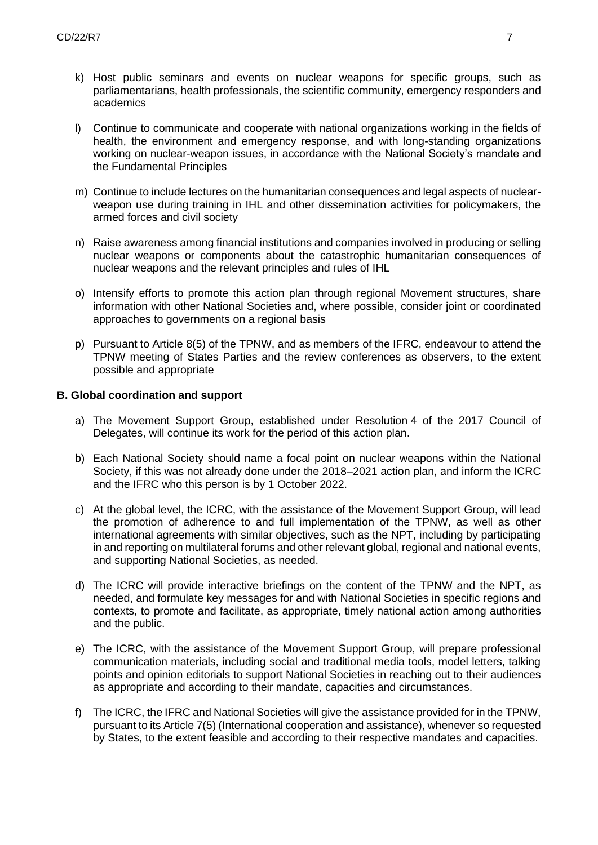- k) Host public seminars and events on nuclear weapons for specific groups, such as parliamentarians, health professionals, the scientific community, emergency responders and academics
- l) Continue to communicate and cooperate with national organizations working in the fields of health, the environment and emergency response, and with long-standing organizations working on nuclear-weapon issues, in accordance with the National Society's mandate and the Fundamental Principles
- m) Continue to include lectures on the humanitarian consequences and legal aspects of nuclearweapon use during training in IHL and other dissemination activities for policymakers, the armed forces and civil society
- n) Raise awareness among financial institutions and companies involved in producing or selling nuclear weapons or components about the catastrophic humanitarian consequences of nuclear weapons and the relevant principles and rules of IHL
- o) Intensify efforts to promote this action plan through regional Movement structures, share information with other National Societies and, where possible, consider joint or coordinated approaches to governments on a regional basis
- p) Pursuant to Article 8(5) of the TPNW, and as members of the IFRC, endeavour to attend the TPNW meeting of States Parties and the review conferences as observers, to the extent possible and appropriate

#### **B. Global coordination and support**

- a) The Movement Support Group, established under Resolution 4 of the 2017 Council of Delegates, will continue its work for the period of this action plan.
- b) Each National Society should name a focal point on nuclear weapons within the National Society, if this was not already done under the 2018–2021 action plan, and inform the ICRC and the IFRC who this person is by 1 October 2022.
- c) At the global level, the ICRC, with the assistance of the Movement Support Group, will lead the promotion of adherence to and full implementation of the TPNW, as well as other international agreements with similar objectives, such as the NPT, including by participating in and reporting on multilateral forums and other relevant global, regional and national events, and supporting National Societies, as needed.
- d) The ICRC will provide interactive briefings on the content of the TPNW and the NPT, as needed, and formulate key messages for and with National Societies in specific regions and contexts, to promote and facilitate, as appropriate, timely national action among authorities and the public.
- e) The ICRC, with the assistance of the Movement Support Group, will prepare professional communication materials, including social and traditional media tools, model letters, talking points and opinion editorials to support National Societies in reaching out to their audiences as appropriate and according to their mandate, capacities and circumstances.
- f) The ICRC, the IFRC and National Societies will give the assistance provided for in the TPNW, pursuant to its Article 7(5) (International cooperation and assistance), whenever so requested by States, to the extent feasible and according to their respective mandates and capacities.